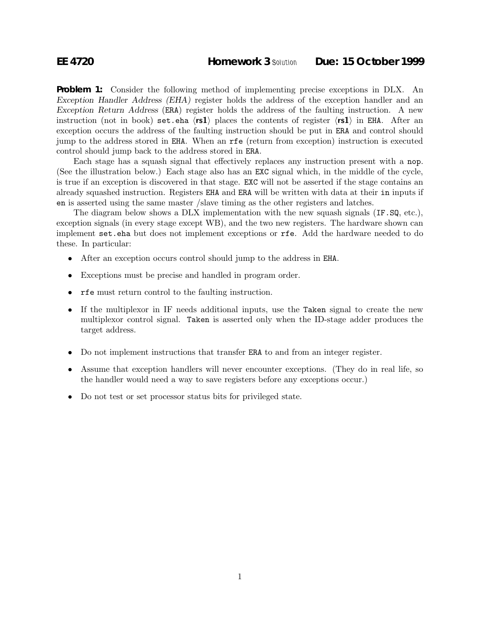**Problem 1:** Consider the following method of implementing precise exceptions in DLX. An *Exception Handler Address (EHA)* register holds the address of the exception handler and an *Exception Return Address* (ERA) register holds the address of the faulting instruction. A new instruction (not in book) set.eha  $\langle rs1 \rangle$  places the contents of register  $\langle rs1 \rangle$  in EHA. After an exception occurs the address of the faulting instruction should be put in ERA and control should jump to the address stored in EHA. When an rfe (return from exception) instruction is executed control should jump back to the address stored in ERA.

Each stage has a squash signal that effectively replaces any instruction present with a nop. (See the illustration below.) Each stage also has an EXC signal which, in the middle of the cycle, is true if an exception is discovered in that stage. EXC will not be asserted if the stage contains an already squashed instruction. Registers EHA and ERA will be written with data at their in inputs if en is asserted using the same master /slave timing as the other registers and latches.

The diagram below shows a DLX implementation with the new squash signals (IF.SQ, etc.), exception signals (in every stage except WB), and the two new registers. The hardware shown can implement set.eha but does not implement exceptions or rfe. Add the hardware needed to do these. In particular:

- After an exception occurs control should jump to the address in EHA.
- Exceptions must be precise and handled in program order.
- rfe must return control to the faulting instruction.
- If the multiplexor in IF needs additional inputs, use the Taken signal to create the new multiplexor control signal. Taken is asserted only when the ID-stage adder produces the target address.
- Do not implement instructions that transfer ERA to and from an integer register.
- Assume that exception handlers will never encounter exceptions. (They do in real life, so the handler would need a way to save registers before any exceptions occur.)
- Do not test or set processor status bits for privileged state.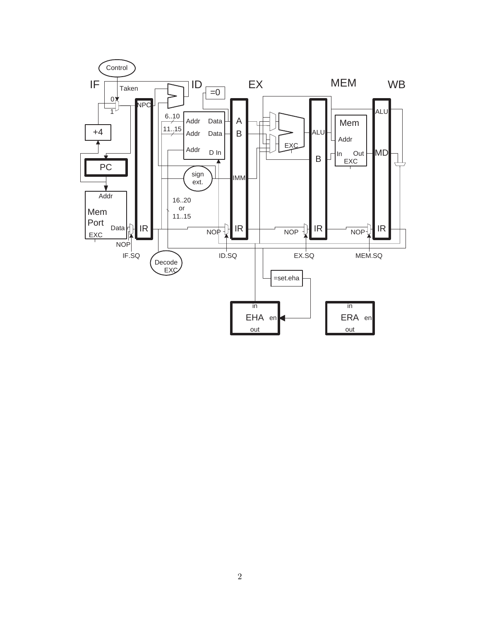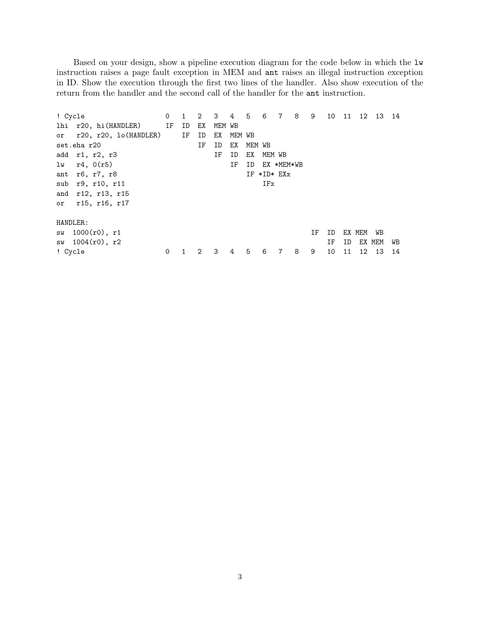Based on your design, show a pipeline execution diagram for the code below in which the lw instruction raises a page fault exception in MEM and ant raises an illegal instruction exception in ID. Show the execution through the first two lines of the handler. Also show execution of the return from the handler and the second call of the handler for the ant instruction.

| ! Cycle     |                                   | 0        | $\mathbf{1}$ | 2  | 3      | $\overline{4}$ | 5      | $6\overline{6}$ | 7          | 8 | 9  | 10 | 11     | 12     | - 13 | 14 |
|-------------|-----------------------------------|----------|--------------|----|--------|----------------|--------|-----------------|------------|---|----|----|--------|--------|------|----|
|             | lhi r20, hi(HANDLER)              | IF       | ID           | EХ | MEM WB |                |        |                 |            |   |    |    |        |        |      |    |
|             | or $r20$ , $r20$ , $10$ (HANDLER) |          | ΙF           | ID | ЕX     | MEM WB         |        |                 |            |   |    |    |        |        |      |    |
| set.eha r20 |                                   |          |              | ΙF | ID     | ЕX             | MEM WB |                 |            |   |    |    |        |        |      |    |
|             | add r1, r2, r3                    |          |              |    | ΙF     | ID             | ЕX     | MEM WB          |            |   |    |    |        |        |      |    |
| lw          | r4, 0(r5)                         |          |              |    |        | ΙF             | ID     |                 | EX *MEM*WB |   |    |    |        |        |      |    |
| ant         | r6, r7, r8                        |          |              |    |        |                |        | IF *ID* EXx     |            |   |    |    |        |        |      |    |
| sub         | r9, r10, r11                      |          |              |    |        |                |        | IFx             |            |   |    |    |        |        |      |    |
| and         | r12, r13, r15                     |          |              |    |        |                |        |                 |            |   |    |    |        |        |      |    |
|             | or r15, r16, r17                  |          |              |    |        |                |        |                 |            |   |    |    |        |        |      |    |
|             |                                   |          |              |    |        |                |        |                 |            |   |    |    |        |        |      |    |
| HANDLER:    |                                   |          |              |    |        |                |        |                 |            |   |    |    |        |        |      |    |
| SW          | 1000(r0), r1                      |          |              |    |        |                |        |                 |            |   | ΙF | ID | EX MEM |        | WВ   |    |
| SW          | $1004(r0)$ , r2                   |          |              |    |        |                |        |                 |            |   |    | ΙF | ID     | EX MEM |      | WВ |
| ! Cycle     |                                   | $\Omega$ |              | 2  | 3      | 4              | 5      | 6               | 7          | 8 | 9  | 10 | 11     | 12     | 13   | 14 |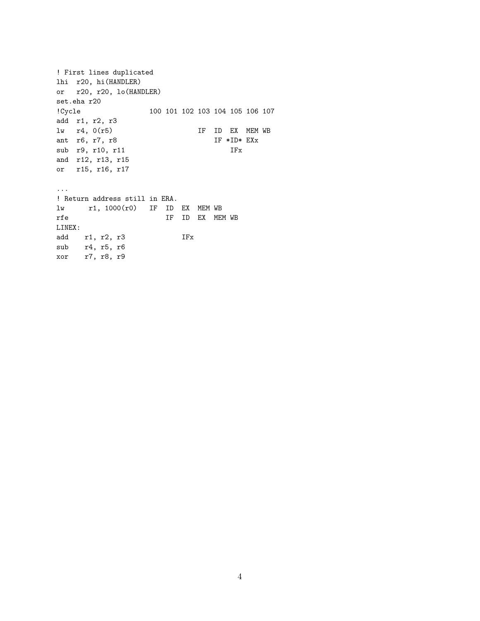! First lines duplicated lhi r20, hi(HANDLER) or r20, r20, lo(HANDLER) set.eha r20 !Cycle 100 101 102 103 104 105 106 107 add r1, r2, r3 lw r4, 0(r5) IF ID EX MEM WB ant r6, r7, r8  $IF *ID * EXx$ sub r9, r10, r11 IFx and r12, r13, r15 or r15, r16, r17 ... ! Return address still in ERA. lw r1, 1000(r0) IF ID EX MEM WB rfe IF ID EX MEM WB LINEX: add r1, r2, r3 IFx sub r4, r5, r6 xor r7, r8, r9